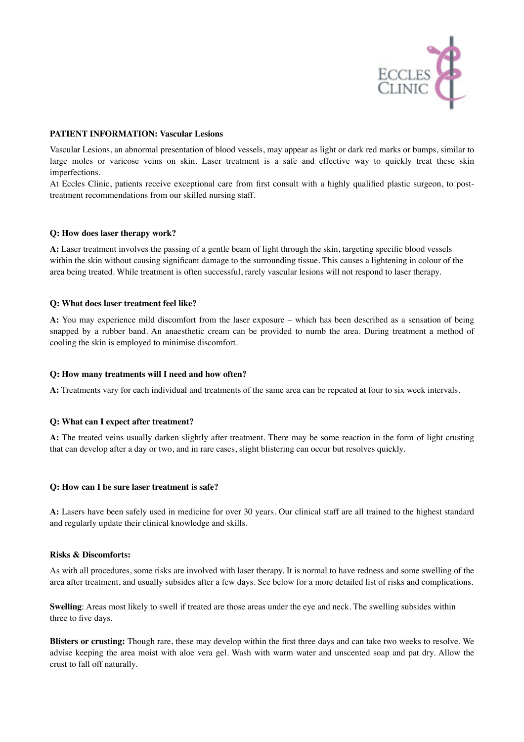

## **PATIENT INFORMATION: Vascular Lesions**

Vascular Lesions, an abnormal presentation of blood vessels, may appear as light or dark red marks or bumps, similar to large moles or varicose veins on skin. Laser treatment is a safe and effective way to quickly treat these skin imperfections.

At Eccles Clinic, patients receive exceptional care from first consult with a highly qualified plastic surgeon, to posttreatment recommendations from our skilled nursing staff.

### **Q: How does laser therapy work?**

**A:** Laser treatment involves the passing of a gentle beam of light through the skin, targeting specific blood vessels within the skin without causing significant damage to the surrounding tissue. This causes a lightening in colour of the area being treated. While treatment is often successful, rarely vascular lesions will not respond to laser therapy.

## **Q: What does laser treatment feel like?**

**A:** You may experience mild discomfort from the laser exposure – which has been described as a sensation of being snapped by a rubber band. An anaesthetic cream can be provided to numb the area. During treatment a method of cooling the skin is employed to minimise discomfort.

## **Q: How many treatments will I need and how often?**

**A:** Treatments vary for each individual and treatments of the same area can be repeated at four to six week intervals.

# **Q: What can I expect after treatment?**

**A:** The treated veins usually darken slightly after treatment. There may be some reaction in the form of light crusting that can develop after a day or two, and in rare cases, slight blistering can occur but resolves quickly.

### **Q: How can I be sure laser treatment is safe?**

**A:** Lasers have been safely used in medicine for over 30 years. Our clinical staff are all trained to the highest standard and regularly update their clinical knowledge and skills.

### **Risks & Discomforts:**

As with all procedures, some risks are involved with laser therapy. It is normal to have redness and some swelling of the area after treatment, and usually subsides after a few days. See below for a more detailed list of risks and complications.

**Swelling**: Areas most likely to swell if treated are those areas under the eye and neck. The swelling subsides within three to five days.

**Blisters or crusting:** Though rare, these may develop within the first three days and can take two weeks to resolve. We advise keeping the area moist with aloe vera gel. Wash with warm water and unscented soap and pat dry. Allow the crust to fall off naturally.